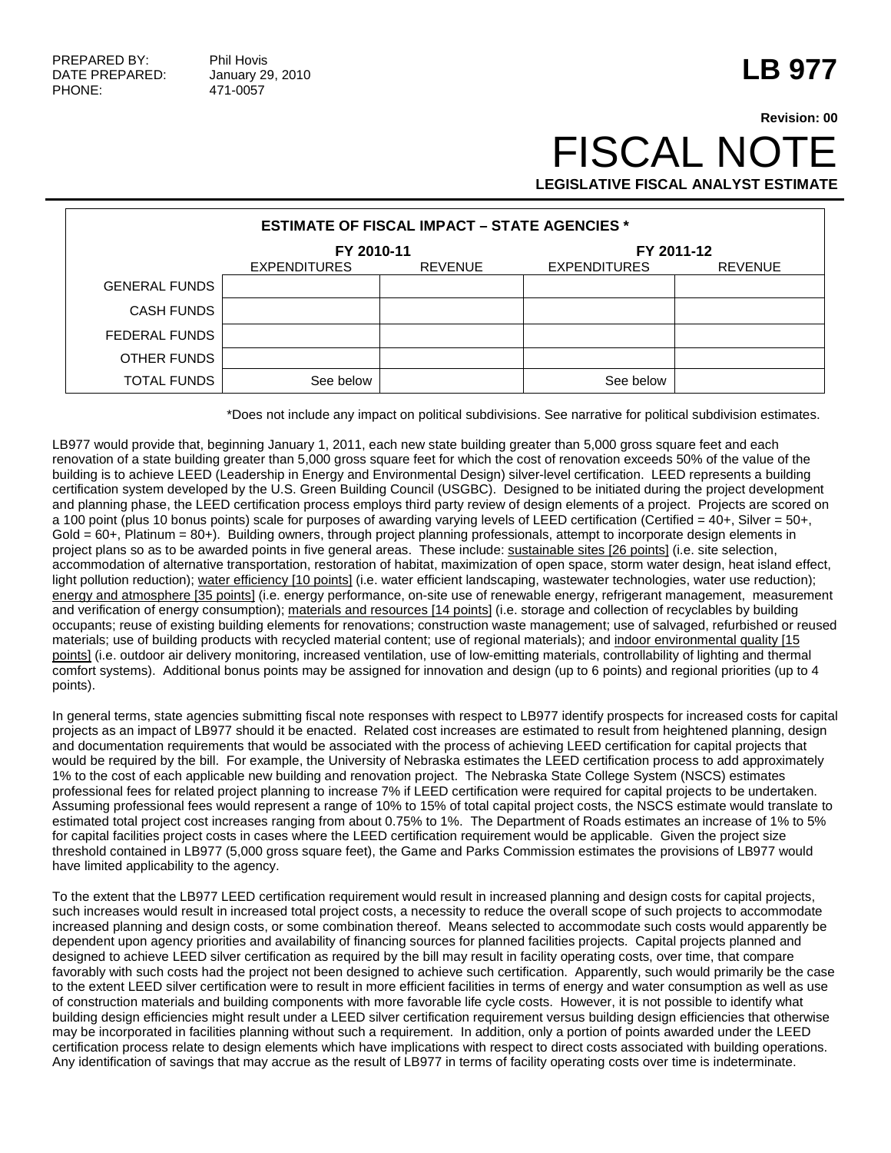## **LB 977**

## **Revision: 00 FISCAL NOT LEGISLATIVE FISCAL ANALYST ESTIMATE**

| <b>ESTIMATE OF FISCAL IMPACT – STATE AGENCIES *</b> |                     |                |                     |                |  |  |
|-----------------------------------------------------|---------------------|----------------|---------------------|----------------|--|--|
|                                                     | FY 2010-11          |                | FY 2011-12          |                |  |  |
|                                                     | <b>EXPENDITURES</b> | <b>REVENUE</b> | <b>EXPENDITURES</b> | <b>REVENUE</b> |  |  |
| <b>GENERAL FUNDS</b>                                |                     |                |                     |                |  |  |
| <b>CASH FUNDS</b>                                   |                     |                |                     |                |  |  |
| FEDERAL FUNDS                                       |                     |                |                     |                |  |  |
| OTHER FUNDS                                         |                     |                |                     |                |  |  |
| <b>TOTAL FUNDS</b>                                  | See below           |                | See below           |                |  |  |

\*Does not include any impact on political subdivisions. See narrative for political subdivision estimates.

LB977 would provide that, beginning January 1, 2011, each new state building greater than 5,000 gross square feet and each renovation of a state building greater than 5,000 gross square feet for which the cost of renovation exceeds 50% of the value of the building is to achieve LEED (Leadership in Energy and Environmental Design) silver-level certification. LEED represents a building certification system developed by the U.S. Green Building Council (USGBC). Designed to be initiated during the project development and planning phase, the LEED certification process employs third party review of design elements of a project. Projects are scored on a 100 point (plus 10 bonus points) scale for purposes of awarding varying levels of LEED certification (Certified = 40+, Silver = 50+, Gold = 60+, Platinum = 80+). Building owners, through project planning professionals, attempt to incorporate design elements in project plans so as to be awarded points in five general areas. These include: sustainable sites [26 points] (i.e. site selection, accommodation of alternative transportation, restoration of habitat, maximization of open space, storm water design, heat island effect, light pollution reduction); water efficiency [10 points] (i.e. water efficient landscaping, wastewater technologies, water use reduction); energy and atmosphere [35 points] (i.e. energy performance, on-site use of renewable energy, refrigerant management, measurement and verification of energy consumption); materials and resources [14 points] (i.e. storage and collection of recyclables by building occupants; reuse of existing building elements for renovations; construction waste management; use of salvaged, refurbished or reused materials; use of building products with recycled material content; use of regional materials); and indoor environmental quality [15 points] (i.e. outdoor air delivery monitoring, increased ventilation, use of low-emitting materials, controllability of lighting and thermal comfort systems). Additional bonus points may be assigned for innovation and design (up to 6 points) and regional priorities (up to 4 points).

In general terms, state agencies submitting fiscal note responses with respect to LB977 identify prospects for increased costs for capital projects as an impact of LB977 should it be enacted. Related cost increases are estimated to result from heightened planning, design and documentation requirements that would be associated with the process of achieving LEED certification for capital projects that would be required by the bill. For example, the University of Nebraska estimates the LEED certification process to add approximately 1% to the cost of each applicable new building and renovation project. The Nebraska State College System (NSCS) estimates professional fees for related project planning to increase 7% if LEED certification were required for capital projects to be undertaken. Assuming professional fees would represent a range of 10% to 15% of total capital project costs, the NSCS estimate would translate to estimated total project cost increases ranging from about 0.75% to 1%. The Department of Roads estimates an increase of 1% to 5% for capital facilities project costs in cases where the LEED certification requirement would be applicable. Given the project size threshold contained in LB977 (5,000 gross square feet), the Game and Parks Commission estimates the provisions of LB977 would have limited applicability to the agency.

To the extent that the LB977 LEED certification requirement would result in increased planning and design costs for capital projects, such increases would result in increased total project costs, a necessity to reduce the overall scope of such projects to accommodate increased planning and design costs, or some combination thereof. Means selected to accommodate such costs would apparently be dependent upon agency priorities and availability of financing sources for planned facilities projects. Capital projects planned and designed to achieve LEED silver certification as required by the bill may result in facility operating costs, over time, that compare favorably with such costs had the project not been designed to achieve such certification. Apparently, such would primarily be the case to the extent LEED silver certification were to result in more efficient facilities in terms of energy and water consumption as well as use of construction materials and building components with more favorable life cycle costs. However, it is not possible to identify what building design efficiencies might result under a LEED silver certification requirement versus building design efficiencies that otherwise may be incorporated in facilities planning without such a requirement. In addition, only a portion of points awarded under the LEED certification process relate to design elements which have implications with respect to direct costs associated with building operations. Any identification of savings that may accrue as the result of LB977 in terms of facility operating costs over time is indeterminate.